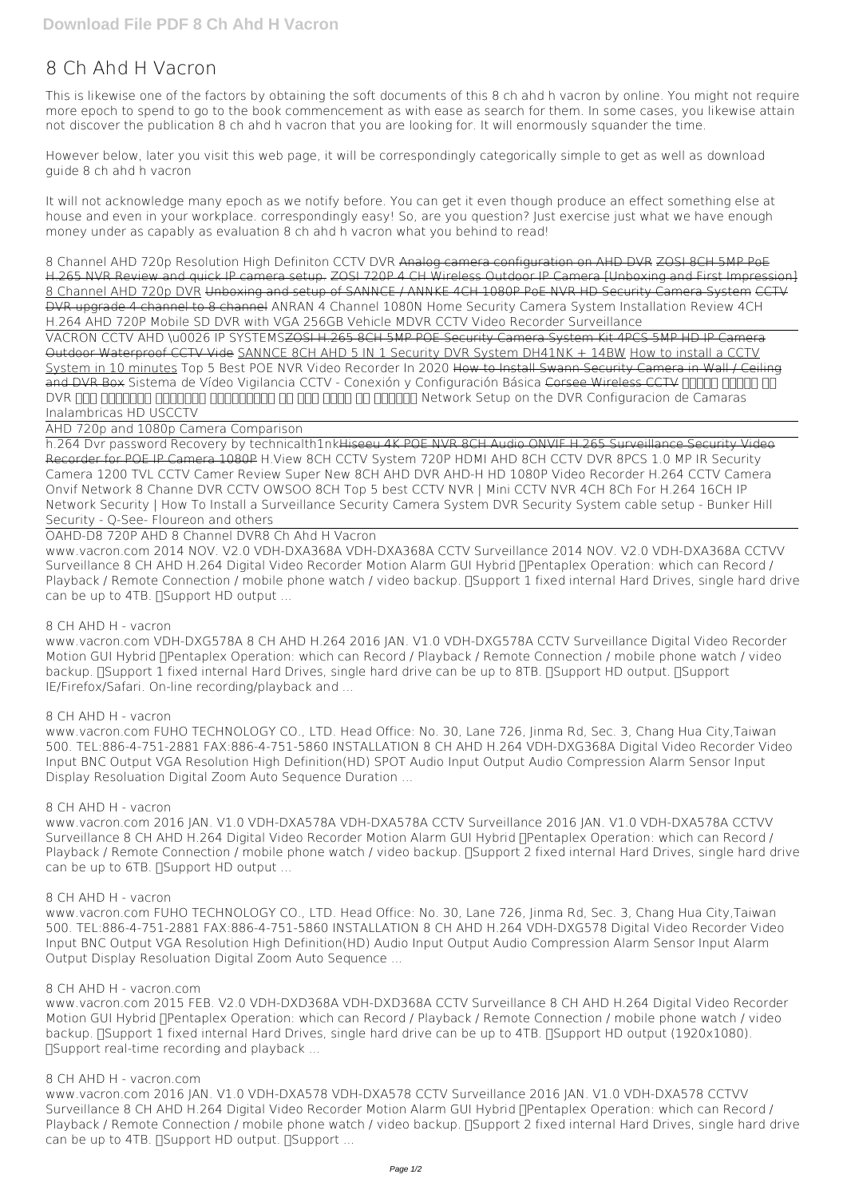# **8 Ch Ahd H Vacron**

This is likewise one of the factors by obtaining the soft documents of this **8 ch ahd h vacron** by online. You might not require more epoch to spend to go to the book commencement as with ease as search for them. In some cases, you likewise attain not discover the publication 8 ch ahd h vacron that you are looking for. It will enormously squander the time.

However below, later you visit this web page, it will be correspondingly categorically simple to get as well as download guide 8 ch ahd h vacron

It will not acknowledge many epoch as we notify before. You can get it even though produce an effect something else at house and even in your workplace. correspondingly easy! So, are you question? Just exercise just what we have enough money under as capably as evaluation **8 ch ahd h vacron** what you behind to read!

*8 Channel AHD 720p Resolution High Definiton CCTV DVR* Analog camera configuration on AHD DVR ZOSI 8CH 5MP PoE H.265 NVR Review and quick IP camera setup. ZOSI 720P 4 CH Wireless Outdoor IP Camera [Unboxing and First Impression] 8 Channel AHD 720p DVR Unboxing and setup of SANNCE / ANNKE 4CH 1080P PoE NVR HD Security Camera System CCTV DVR upgrade 4 channel to 8 channel *ANRAN 4 Channel 1080N Home Security Camera System Installation Review 4CH H.264 AHD 720P Mobile SD DVR with VGA 256GB Vehicle MDVR CCTV Video Recorder Surveillance*

www.vacron.com 2014 NOV. V2.0 VDH-DXA368A VDH-DXA368A CCTV Surveillance 2014 NOV. V2.0 VDH-DXA368A CCTVV Surveillance 8 CH AHD H.264 Digital Video Recorder Motion Alarm GUI Hybrid <sub>[</sub> Pentaplex Operation: which can Record / Playback / Remote Connection / mobile phone watch / video backup. [Support 1 fixed internal Hard Drives, single hard drive can be up to 4TB.  $\Box$ Support HD output ...

VACRON CCTV AHD \u0026 IP SYSTEMSZOSI H.265 8CH 5MP POE Security Camera System Kit 4PCS 5MP HD IP Camera Outdoor Waterproof CCTV Vide SANNCE 8CH AHD 5 IN 1 Security DVR System DH41NK + 14BW How to install a CCTV System in 10 minutes *Top 5 Best POE NVR Video Recorder In 2020* How to Install Swann Security Camera in Wall / Ceiling and DVR Box Sistema de Vídeo Vigilancia CCTV - Conexión y Configuración Básica Corsee Wireless CCTV חברות חברות CAMARAS CAMARAS DURING THE CONFIGURACION OF CAMARAS DURING THE ONLY THE ONLY CONFIGURACION OF CAMARAS Inalambricas HD USCCTV

www.vacron.com 2016 JAN. V1.0 VDH-DXA578A VDH-DXA578A CCTV Surveillance 2016 JAN. V1.0 VDH-DXA578A CCTVV Surveillance 8 CH AHD H.264 Digital Video Recorder Motion Alarm GUI Hybrid <sub>[</sub> Pentaplex Operation: which can Record / Playback / Remote Connection / mobile phone watch / video backup. [Support 2 fixed internal Hard Drives, single hard drive can be up to 6TB.  $\Box$ Support HD output ...

AHD 720p and 1080p Camera Comparison

h.264 Dvr password Recovery by technicalth1nkHiseeu 4K POE NVR 8CH Audio ONVIF H.265 Surveillance Security Video Recorder for POE IP Camera 1080P *H.View 8CH CCTV System 720P HDMI AHD 8CH CCTV DVR 8PCS 1.0 MP IR Security Camera 1200 TVL CCTV Camer* Review Super New 8CH AHD DVR AHD-H HD 1080P Video Recorder H.264 CCTV Camera Onvif Network 8 Channe *DVR CCTV OWSOO 8CH* Top 5 best CCTV NVR | Mini CCTV NVR 4CH 8Ch For H.264 16CH IP Network Security | How To Install a Surveillance Security Camera System DVR Security System cable setup - Bunker Hill Security - Q-See- Floureon and others

www.vacron.com 2016 JAN. V1.0 VDH-DXA578 VDH-DXA578 CCTV Surveillance 2016 JAN. V1.0 VDH-DXA578 CCTVV Surveillance 8 CH AHD H.264 Digital Video Recorder Motion Alarm GUI Hybrid <sub>[</sub> Pentaplex Operation: which can Record / Playback / Remote Connection / mobile phone watch / video backup. [Support 2 fixed internal Hard Drives, single hard drive can be up to 4TB.  $\Box$ Support HD output.  $\Box$ Support ...

OAHD-D8 720P AHD 8 Channel DVR*8 Ch Ahd H Vacron*

# *8 CH AHD H - vacron*

www.vacron.com VDH-DXG578A 8 CH AHD H.264 2016 JAN. V1.0 VDH-DXG578A CCTV Surveillance Digital Video Recorder Motion GUI Hybrid **Pentaplex Operation: which can Record** / Playback / Remote Connection / mobile phone watch / video backup. [Support 1 fixed internal Hard Drives, single hard drive can be up to 8TB. [Support HD output. [Support IE/Firefox/Safari. On-line recording/playback and ...

# *8 CH AHD H - vacron*

www.vacron.com FUHO TECHNOLOGY CO., LTD. Head Office: No. 30, Lane 726, Jinma Rd, Sec. 3, Chang Hua City,Taiwan 500. TEL:886-4-751-2881 FAX:886-4-751-5860 INSTALLATION 8 CH AHD H.264 VDH-DXG368A Digital Video Recorder Video Input BNC Output VGA Resolution High Definition(HD) SPOT Audio Input Output Audio Compression Alarm Sensor Input Display Resoluation Digital Zoom Auto Sequence Duration ...

#### *8 CH AHD H - vacron*

www.vacron.com FUHO TECHNOLOGY CO., LTD. Head Office: No. 30, Lane 726, Jinma Rd, Sec. 3, Chang Hua City,Taiwan 500. TEL:886-4-751-2881 FAX:886-4-751-5860 INSTALLATION 8 CH AHD H.264 VDH-DXG578 Digital Video Recorder Video Input BNC Output VGA Resolution High Definition(HD) Audio Input Output Audio Compression Alarm Sensor Input Alarm Output Display Resoluation Digital Zoom Auto Sequence ...

#### *8 CH AHD H - vacron.com*

www.vacron.com 2015 FEB. V2.0 VDH-DXD368A VDH-DXD368A CCTV Surveillance 8 CH AHD H.264 Digital Video Recorder Motion GUI Hybrid **Pentaplex Operation: which can Record** / Playback / Remote Connection / mobile phone watch / video backup. NSupport 1 fixed internal Hard Drives, single hard drive can be up to 4TB. NSupport HD output (1920x1080). ‧Support real-time recording and playback ...

#### *8 CH AHD H - vacron.com*